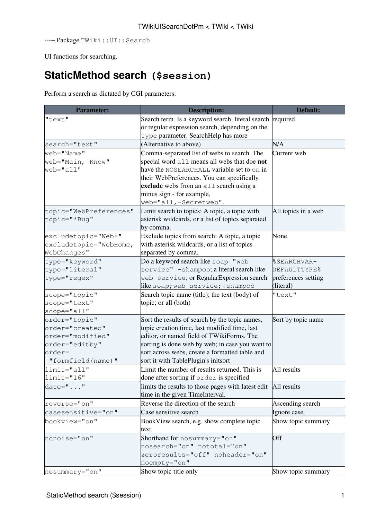---+ Package TWiki::UI::Search

UI functions for searching.

## **[StaticMethod](https://wiki-igi.cnaf.infn.it/twiki/bin/view/TWiki/StaticMethod) search (\$session)**

Perform a search as dictated by CGI parameters:

| <b>Parameter:</b>      | <b>Description:</b>                                             | Default:            |
|------------------------|-----------------------------------------------------------------|---------------------|
| "text"                 | Search term. Is a keyword search, literal search required       |                     |
|                        | or regular expression search, depending on the                  |                     |
|                        | type parameter. SearchHelp has more                             |                     |
| search="text"          | (Alternative to above)                                          | N/A                 |
| web="Name"             | Comma-separated list of webs to search. The                     | Current web         |
| web="Main, Know"       | special word all means all webs that doe not                    |                     |
| $web="all"$            | have the NOSEARCHALL variable set to on in                      |                     |
|                        | their WebPreferences. You can specifically                      |                     |
|                        | exclude webs from an all search using a                         |                     |
|                        | minus sign - for example,                                       |                     |
|                        | web="all,-Secretweb".                                           |                     |
| topic="WebPreferences" | Limit search to topics: A topic, a topic with                   | All topics in a web |
| topic="*Bug"           | asterisk wildcards, or a list of topics separated               |                     |
|                        | by comma.                                                       |                     |
| excludetopic="Web*"    | Exclude topics from search: A topic, a topic                    | None                |
| excludetopic="WebHome, | with asterisk wildcards, or a list of topics                    |                     |
| WebChanges"            | separated by comma.                                             |                     |
| type="keyword"         | Do a keyword search like soap "web                              | %SEARCHVAR-         |
| type="literal"         | service" -shampoo; a literal search like                        | DEFAULTTYPE%        |
| type="regex"           | web service; or RegularExpression search                        | preferences setting |
|                        | like soap; web service; !shampoo                                | (literal)           |
| scope="topic"          | Search topic name (title); the text (body) of                   | "text"              |
| scope="text"           | topic; or all (both)                                            |                     |
| scope="all"            |                                                                 |                     |
| order="topic"          | Sort the results of search by the topic names,                  | Sort by topic name  |
| order="created"        | topic creation time, last modified time, last                   |                     |
| order="modified"       | editor, or named field of TWikiForms. The                       |                     |
| order="editby"         | sorting is done web by web; in case you want to                 |                     |
| $order=$               | sort across webs, create a formatted table and                  |                     |
| "formfield(name)"      | sort it with TablePlugin's initsort                             |                     |
| limit="all"            | Limit the number of results returned. This is                   | All results         |
| $limit="16"$           | done after sorting if order is specified                        |                     |
| $date = ""$            | limits the results to those pages with latest edit  All results |                     |
|                        | time in the given TimeInterval.                                 |                     |
| reverse="on"           | Reverse the direction of the search                             | Ascending search    |
| casesensitive="on"     | Case sensitive search                                           | Ignore case         |
| bookview="on"          | BookView search, e.g. show complete topic                       | Show topic summary  |
|                        | text                                                            |                     |
| nonoise="on"           | Shorthand for nosummary="on"                                    | Off                 |
|                        | nosearch="on" nototal="on"                                      |                     |
|                        | zeroresults="off" noheader="on"                                 |                     |
|                        | noempty="on"                                                    |                     |
| nosummary="on"         | Show topic title only                                           | Show topic summary  |